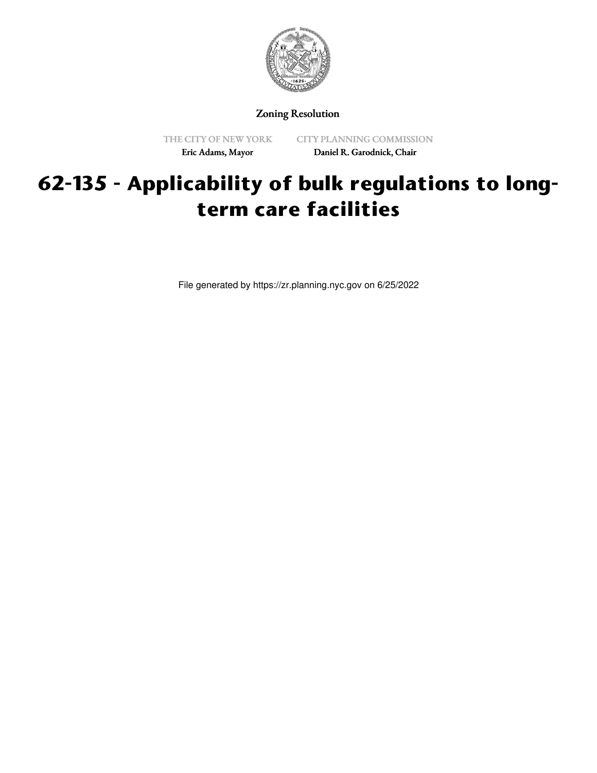

Zoning Resolution

THE CITY OF NEW YORK Eric Adams, Mayor

CITY PLANNING COMMISSION Daniel R. Garodnick, Chair

## **62-135 - Applicability of bulk regulations to longterm care facilities**

File generated by https://zr.planning.nyc.gov on 6/25/2022